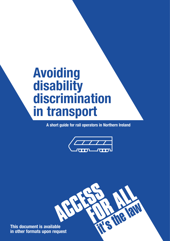# **Avoiding disability discrimination in transport**

**A short guide for rail operators in Northern Ireland**



RN

**This document is available in other formats upon request**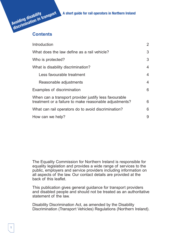# **Avoiding disability discrimination in transport A short guide for rail operators in Northern Ireland**



| Introduction                                                                                                    | 2 |
|-----------------------------------------------------------------------------------------------------------------|---|
| What does the law define as a rail vehicle?                                                                     | 3 |
| Who is protected?                                                                                               | 3 |
| What is disability discrimination?                                                                              | 4 |
| Less favourable treatment                                                                                       | 4 |
| Reasonable adjustments                                                                                          | 4 |
| Examples of discrimination                                                                                      | 6 |
| When can a transport provider justify less favourable<br>treatment or a failure to make reasonable adjustments? | 6 |
| What can rail operators do to avoid discrimination?                                                             | 6 |
| How can we help?                                                                                                | 9 |

The Equality Commission for Northern Ireland is responsible for equality legislation and provides a wide range of services to the public, employers and service providers including information on all aspects of the law. Our contact details are provided at the back of this leaflet.

This publication gives general guidance for transport providers and disabled people and should not be treated as an authoritative statement of the law

Disability Discrimination Act, as amended by the Disability Discrimination (Transport Vehicles) Regulations (Northern Ireland).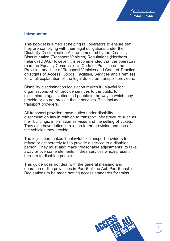

# **Introduction**

This booklet is aimed at helping rail operators to ensure that they are complying with their legal obligations under the Disability Discrimination Act, as amended by the Disability Discrimination (Transport Vehicles) Regulations (Northern Ireland) (DDA). However, it is recommended that the operators read the Equality Commission's Code of Practice on the Provision and Use of Transport Vehicles and Code of Practice on Rights of Access, Goods, Facilities, Services and Premises for a full explanation of the legal duties on transport providers.

Disability discrimination legislation makes it unlawful for organisations which provide services to the public to discriminate against disabled people in the way in which they provide or do not provide those services. This includes transport providers.

All transport providers have duties under disability discrimination law in relation to transport infrastructure such as their buildings, information services and the selling of tickets. They also have duties in relation to the provision and use of the vehicles they provide.

The legislation makes it unlawful for transport providers to refuse or deliberately fail to provide a service to a disabled person. They must also make "reasonable adjustments" to take away or overcome elements in their services which present barriers to disabled people.

This guide does not deal with the general meaning and operation of the provisions in Part 5 of the Act. Part 5 enables Regulations to be made setting access standards for trains.

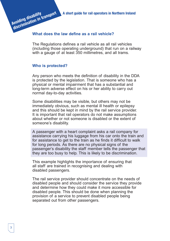**discrimination in transport A short guide for rail operators in Northern Ireland**

## **What does the law define as a rail vehicle?**

The Regulations defines a rail vehicle as all rail vehicles (including those operating underground) that run on a railway with a gauge of at least 350 millimetres, and all trams.

#### **Who is protected?**

**Avoiding disability**

Any person who meets the definition of disability in the DDA is protected by the legislation. That is someone who has a physical or mental impairment that has a substantial and long-term adverse effect on his or her ability to carry out normal day-to-day activities.

Some disabilities may be visible, but others may not be immediately obvious, such as mental ill health or epilepsy and this should be kept in mind by the rail service provider. It is important that rail operators do not make assumptions about whether or not someone is disabled or the extent of someone's disability.

A passenger with a heart complaint asks a rail company for assistance carrying his luggage from his car onto the train and for assistance to get to the train as he finds it difficult to walk for long periods. As there are no physical signs of the passenger's disability the staff member tells the passenger that they are too busy to help. This is likely to be discrimination.

This example highlights the importance of ensuring that all staff are trained in recognising and dealing with disabled passengers.

The rail service provider should concentrate on the needs of disabled people and should consider the service they provide and determine how they could make it more accessible for disabled people. This should be done when planning the provision of a service to prevent disabled people being separated out from other passengers.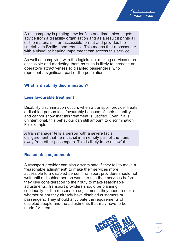

A rail company is printing new leaflets and timetables. It gets advice from a disability organisation and as a result it prints all of the materials in an accessible format and provides the timetable in Braille upon request. This means that a passenger with a visual or hearing impairment can access this service.

As well as complying with the legislation, making services more accessible and marketing them as such is likely to increase an operator's attractiveness to disabled passengers, who represent a significant part of the population.

# **What is disability discrimination?**

#### **Less favourable treatment**

Disability discrimination occurs when a transport provider treats a disabled person less favourably because of their disability and cannot show that this treatment is justified. Even if it is unintentional, this behaviour can still amount to discrimination. For example:

A train manager tells a person with a severe facial disfigurement that he must sit in an empty part of the train, away from other passengers. This is likely to be unlawful.

#### **Reasonable adjustments**

A transport provider can also discriminate if they fail to make a "reasonable adjustment" to make their services more accessible to a disabled person. Transport providers should not wait until a disabled person wants to use their services before they give consideration to their duty to make reasonable adjustments. Transport providers should be planning continually for the reasonable adjustments they need to make, whether or not they already have disabled customers or passengers. They should anticipate the requirements of disabled people and the adjustments that may have to be made for them.

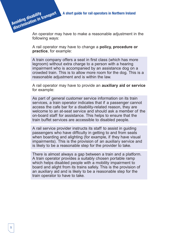An operator may have to make a reasonable adjustment in the following ways:

A rail operator may have to change a **policy, procedure or practice**, for example:

A train company offers a seat in first class (which has more legroom) without extra charge to a person with a hearing impairment who is accompanied by an assistance dog on a crowded train. This is to allow more room for the dog. This is a reasonable adjustment and is within the law.

A rail operator may have to provide an **auxiliary aid or service** for example:

As part of general customer service information on its train services, a train operator indicates that if a passenger cannot access the cafe bar for a disability-related reason, they are welcome to an at-seat service and should ask a member of the on-board staff for assistance. This helps to ensure that the train buffet services are accessible to disabled people.

A rail service provider instructs its staff to assist in guiding passengers who have difficulty in getting to and from seats when boarding and alighting (for example, if they have visual impairments). This is the provision of an auxiliary service and is likely to be a reasonable step for the provider to take.

There is almost always a gap between a train and a platform. A train operator provides a suitably chosen portable ramp which helps disabled people with a mobility impairment to board and alight from its trains safely. This is the provision of an auxiliary aid and is likely to be a reasonable step for the train operator to have to take.

**Avoiding disability**

**discrimination in transport**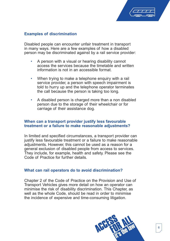

# **Examples of discrimination**

Disabled people can encounter unfair treatment in transport in many ways. Here are a few examples of how a disabled person may be discriminated against by a rail service provider:

- A person with a visual or hearing disability cannot access the services because the timetable and written information is not in an accessible format.
- When trying to make a telephone enquiry with a rail service provider, a person with speech impairment is told to hurry up and the telephone operator terminates the call because the person is taking too long.
- A disabled person is charged more than a non disabled person due to the storage of their wheelchair or for carriage of their assistance dog.

# **When can a transport provider justify less favourable treatment or a failure to make reasonable adjustments?**

In limited and specified circumstances, a transport provider can justify less favourable treatment or a failure to make reasonable adjustments. However, this cannot be used as a reason for a general exclusion of disabled people from access to services. They include, for example, health and safety. Please see the Code of Practice for further details.

# **What can rail operators do to avoid discrimination?**

Chapter 2 of the Code of Practice on the Provision and Use of Transport Vehicles gives more detail on how an operator can minimise the risk of disability discrimination. This Chapter, as well as the whole Code, should be read in order to minimise the incidence of expensive and time-consuming litigation.

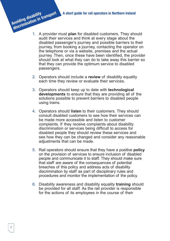- 1. A provider must **plan** for disabled customers. They should audit their services and think at every stage about the disabled passenger's journey and possible barriers to their journey, from booking a journey, contacting the operator on the telephone or via a website, premises and the actual journey. Then, once these have been identified, the provider should look at what they can do to take away this barrier so that they can provide the optimum service to disabled passengers. **discrimination in transport** 
	- 2. Operators should include a **review** of disability equality each time they review or evaluate their services.
	- 3. Operators should keep up to date with **technological developments** to ensure that they are providing all of the solutions possible to prevent barriers to disabled people using trains.
	- 4. Operators should **listen** to their customers. They should consult disabled customers to see how their services can be made more accessible and listen to customer complaints. If they receive complaints about disability discrimination or services being difficult to access for disabled people they should review these services and see how they can be changed and consider any reasonable adjustments that can be made.
	- 5. Rail operators should ensure that they have a positive **policy** on the provision of services to ensure inclusion of disabled people and communicate it to staff. They should make sure that staff are aware of the consequences of potential breaches of this policy and address acts of disability discrimination by staff as part of disciplinary rules and procedures and monitor the implementation of the policy.
	- 6. Disability awareness and disability equality **training** should be provided for all staff. As the rail provider is responsible for the actions of its employees in the course of their

**Avoiding disability**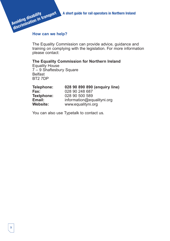**A short guide for rail operators in Northern Ireland**

# **How can we help?**

**Avoiding disability discrimination in transport**

The Equality Commission can provide advice, guidance and training on complying with the legislation. For more information please contact:

#### **The Equality Commission for Northern Ireland**

Equality House 7 – 9 Shaftesbury Square **Belfast** BT2 7DP

| 028 90 890 890 (enquiry line) |
|-------------------------------|
| 028 90 248 687                |
| 028 90 500 589                |
| information@equalityni.org    |
| www.equalityni.org            |
|                               |

You can also use Typetalk to contact us.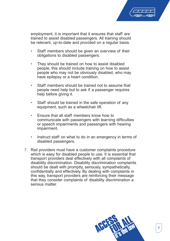

employment, it is important that it ensures that staff are trained to assist disabled passengers. All training should be relevant, up-to-date and provided on a regular basis.

- Staff members should be given an overview of their obligations to disabled passengers.
- They should be trained on how to assist disabled people, this should include training on how to assist people who may not be obviously disabled, who may have epilepsy or a heart condition.
- Staff members should be trained not to assume that people need help but to ask if a passenger requires help before giving it.
- Staff should be trained in the safe operation of any equipment, such as a wheelchair lift.
- Ensure that all staff members know how to communicate with passengers with learning difficulties or speech impairments and passengers with hearing impairment.
- Instruct staff on what to do in an emergency in terms of disabled passengers.
- 7. Rail providers must have a customer complaints procedure which is easy for disabled people to use. It is essential that transport providers deal effectively with all complaints of disability discrimination. Disability discrimination complaints should be dealt with promptly, seriously, sympathetically, confidentially and effectively. By dealing with complaints in this way, transport providers are reinforcing their message that they consider complaints of disability discrimination a serious matter.